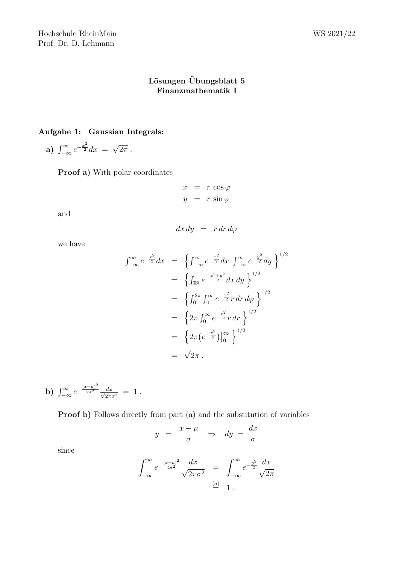## Lösungen Übungsblatt $5$ Finanzmathematik I

## Aufgabe 1: Gaussian Integrals:

a)  $\int_{-\infty}^{\infty} e^{-\frac{x^2}{2}} dx =$ √  $2\pi$ .

Proof a) With polar coordinates

$$
x = r \cos \varphi
$$
  

$$
y = r \sin \varphi
$$

and

$$
dx\,dy\ =\ r\,dr\,d\varphi
$$

we have

$$
\int_{-\infty}^{\infty} e^{-\frac{x^2}{2}} dx = \left\{ \int_{-\infty}^{\infty} e^{-\frac{x^2}{2}} dx \int_{-\infty}^{\infty} e^{-\frac{y^2}{2}} dy \right\}^{1/2}
$$
  
\n
$$
= \left\{ \int_{\mathbb{R}^2} e^{-\frac{x^2 + y^2}{2}} dx dy \right\}^{1/2}
$$
  
\n
$$
= \left\{ \int_{0}^{2\pi} \int_{0}^{\infty} e^{-\frac{r^2}{2}} r dr d\varphi \right\}^{1/2}
$$
  
\n
$$
= \left\{ 2\pi \int_{0}^{\infty} e^{-\frac{r^2}{2}} r dr \right\}^{1/2}
$$
  
\n
$$
= \left\{ 2\pi (e^{-\frac{r^2}{2}}) \Big|_{0}^{\infty} \right\}^{1/2}
$$
  
\n
$$
= \sqrt{2\pi} .
$$

**b)** 
$$
\int_{-\infty}^{\infty} e^{-\frac{(x-\mu)^2}{2\sigma^2}} \frac{dx}{\sqrt{2\pi\sigma^2}} = 1.
$$

Proof b) Follows directly from part (a) and the substitution of variables

$$
y = \frac{x - \mu}{\sigma} \Rightarrow dy = \frac{dx}{\sigma}
$$

since

$$
\int_{-\infty}^{\infty} e^{-\frac{(x-\mu)^2}{2\sigma^2}} \frac{dx}{\sqrt{2\pi\sigma^2}} = \int_{-\infty}^{\infty} e^{-\frac{y^2}{2}} \frac{dx}{\sqrt{2\pi}}
$$
  

$$
\stackrel{\text{(a)}}{=} 1.
$$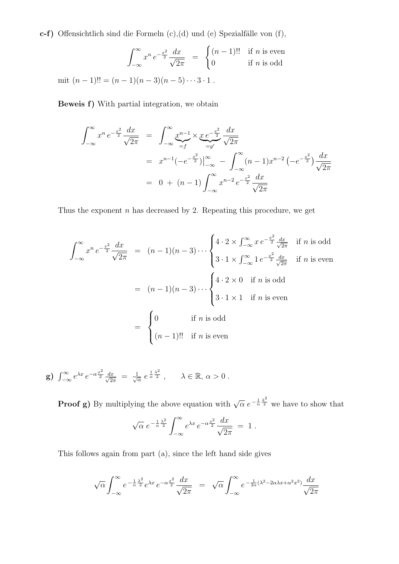c-f) Offensichtlich sind die Formeln  $(c)$ , $(d)$  und  $(e)$  Spezialfälle von  $(f)$ ,

$$
\int_{-\infty}^{\infty} x^n e^{-\frac{x^2}{2}} \frac{dx}{\sqrt{2\pi}} = \begin{cases} (n-1)!! & \text{if } n \text{ is even} \\ 0 & \text{if } n \text{ is odd} \end{cases}
$$

mit  $(n-1)!! = (n-1)(n-3)(n-5)\cdots 3\cdot 1$ .

Beweis f) With partial integration, we obtain

$$
\int_{-\infty}^{\infty} x^n e^{-\frac{x^2}{2}} \frac{dx}{\sqrt{2\pi}} = \int_{-\infty}^{\infty} \underbrace{x^{n-1}}_{=f} \times \underbrace{x e^{-\frac{x^2}{2}}}_{=g'} \frac{dx}{\sqrt{2\pi}}
$$
\n
$$
= x^{n-1} \left(-e^{-\frac{x^2}{2}}\right) \Big|_{-\infty}^{\infty} - \int_{-\infty}^{\infty} (n-1) x^{n-2} \left(-e^{-\frac{x^2}{2}}\right) \frac{dx}{\sqrt{2\pi}}
$$
\n
$$
= 0 + (n-1) \int_{-\infty}^{\infty} x^{n-2} e^{-\frac{x^2}{2}} \frac{dx}{\sqrt{2\pi}}
$$

Thus the exponent  $n$  has decreased by 2. Repeating this procedure, we get

$$
\int_{-\infty}^{\infty} x^n e^{-\frac{x^2}{2}} \frac{dx}{\sqrt{2\pi}} = (n-1)(n-3) \cdots \begin{cases} 4 \cdot 2 \times \int_{-\infty}^{\infty} x e^{-\frac{x^2}{2}} \frac{dx}{\sqrt{2\pi}} & \text{if } n \text{ is odd} \\ 3 \cdot 1 \times \int_{-\infty}^{\infty} 1 e^{-\frac{x^2}{2}} \frac{dx}{\sqrt{2\pi}} & \text{if } n \text{ is even} \end{cases}
$$
  
=  $(n-1)(n-3) \cdots \begin{cases} 4 \cdot 2 \times 0 & \text{if } n \text{ is odd} \\ 3 \cdot 1 \times 1 & \text{if } n \text{ is even} \end{cases}$   
= 
$$
\begin{cases} 0 & \text{if } n \text{ is odd} \\ (n-1)!! & \text{if } n \text{ is even} \end{cases}
$$

g)  $\int_{-\infty}^{\infty} e^{\lambda x} e^{-\alpha \frac{x^2}{2}} \frac{dx}{\sqrt{2}}$  $\frac{dx}{2\pi} = \frac{1}{\sqrt{6}}$  $\frac{1}{\alpha} e^{\frac{1}{\alpha} \frac{\lambda^2}{2}}$ ,  $\lambda \in \mathbb{R}, \alpha > 0$ .

**Proof g)** By multiplying the above equation with  $\sqrt{\alpha} e^{-\frac{1}{\alpha} \frac{\lambda^2}{2}}$  we have to show that √  $\sim$  $\overline{r}$  $x^2$  $\overline{d}$ 

$$
\sqrt{\alpha} e^{-\frac{1}{\alpha} \frac{\lambda^2}{2}} \int_{-\infty}^{\infty} e^{\lambda x} e^{-\alpha \frac{x^2}{2}} \frac{dx}{\sqrt{2\pi}} = 1.
$$

This follows again from part (a), since the left hand side gives

$$
\sqrt{\alpha} \int_{-\infty}^{\infty} e^{-\frac{1}{\alpha}\frac{\lambda^2}{2}} e^{\lambda x} e^{-\alpha \frac{x^2}{2}} \frac{dx}{\sqrt{2\pi}} = \sqrt{\alpha} \int_{-\infty}^{\infty} e^{-\frac{1}{2\alpha}(\lambda^2 - 2\alpha\lambda x + \alpha^2 x^2)} \frac{dx}{\sqrt{2\pi}}
$$